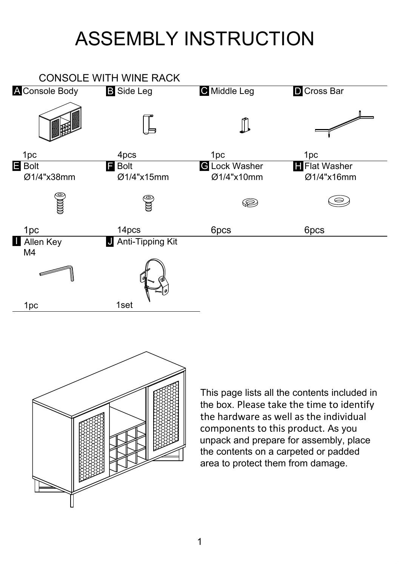## ASSEMBLY INSTRUCTION





This page lists all the contents included in the box. Please take the time to identify the hardware as well as the individual components to this product. As you unpack and prepare for assembly, place the contents on a carpeted or padded area to protect them from damage.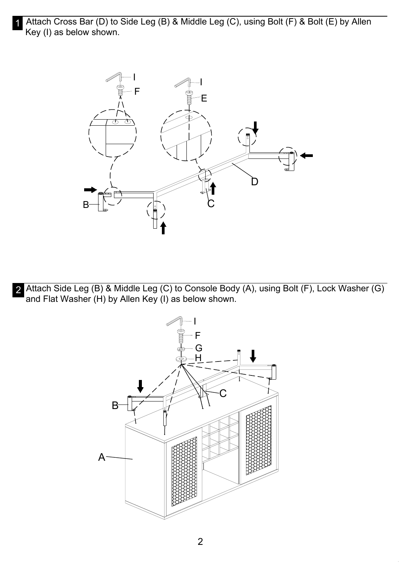1 Attach Cross Bar (D) to Side Leg (B) & Middle Leg (C), using Bolt (F) & Bolt (E) by Allen Key (I) as below shown.



2 Attach Side Leg (B) & Middle Leg (C) to Console Body (A), using Bolt (F), Lock Washer (G) and Flat Washer (H) by Allen Key (I) as below shown.